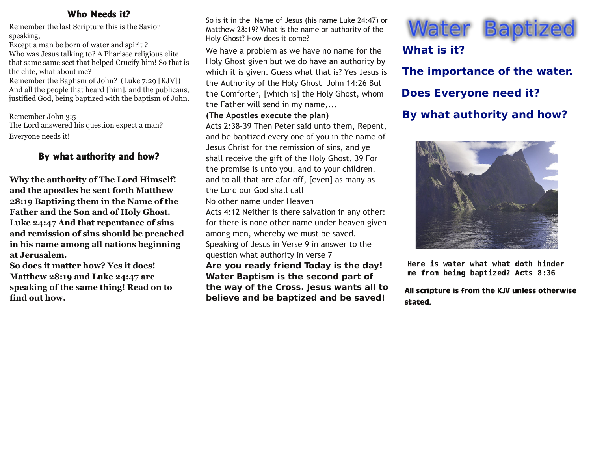#### Who Needs it?

Remember the last Scripture this is the Savior speaking,

Except a man be born of water and spirit ? Who was Jesus talking to? A Pharisee religious elite that same same sect that helped Crucify him! So that is the elite, what about me?

Remember the Baptism of John? (Luke 7:29 [KJV]) And all the people that heard [him], and the publicans, justified God, being baptized with the baptism of John.

Remember John 3:5 The Lord answered his question expect a man? Everyone needs it!

### By what authority and how?

**Why the authority of The Lord Himself! and the apostles he sent forth Matthew 28:19 Baptizing them in the Name of the Father and the Son and of Holy Ghost. Luke 24:47 And that repentance of sins and remission of sins should be preached in his name among all nations beginning at Jerusalem.**

**So does it matter how? Yes it does! Matthew 28:19 and Luke 24:47 are speaking of the same thing! Read on to find out how.**

So is it in the Name of Jesus (his name Luke 24:47) or Matthew 28:19? What is the name or authority of the Holy Ghost? How does it come?

We have a problem as we have no name for the Holy Ghost given but we do have an authority by which it is given. Guess what that is? Yes Jesus is the Authority of the Holy Ghost John 14:26 But the Comforter, [which is] the Holy Ghost, whom the Father will send in my name,...

**(The Apostles execute the plan)**

Acts 2:38‐39 Then Peter said unto them, Repent, and be baptized every one of you in the name of Jesus Christ for the remission of sins, and ye shall receive the gift of the Holy Ghost. 39 For the promise is unto you, and to your children, and to all that are afar off, [even] as many as the Lord our God shall call

No other name under Heaven

Acts 4:12 Neither is there salvation in any other: for there is none other name under heaven given among men, whereby we must be saved. Speaking of Jesus in Verse 9 in answer to the question what authority in verse 7

**Are you ready friend Today is the day! Water Baptism is the second part of the way of the Cross. Jesus wants all to believe and be baptized and be saved!**



# **What is it?**

**The importance of the water. Does Everyone need it? By what authority and how?**



Here is water what what doth hinder me from being baptized? Acts 8:36

All scripture is from the KJV unless otherwise stated.